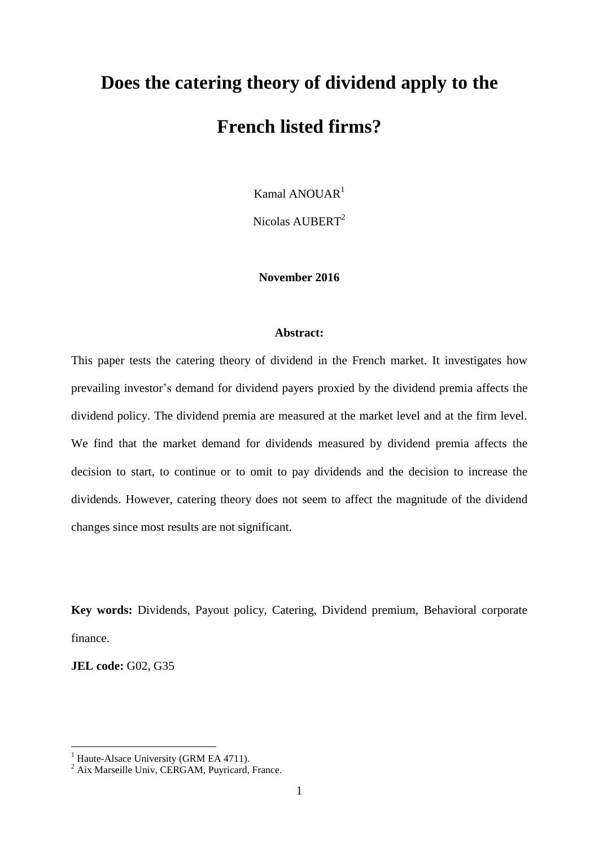# **Does the catering theory of dividend apply to the French listed firms?**

Kamal ANOUAR<sup>1</sup>

Nicolas AUBERT<sup>2</sup>

## **November 2016**

#### **Abstract:**

This paper tests the catering theory of dividend in the French market. It investigates how prevailing investor's demand for dividend payers proxied by the dividend premia affects the dividend policy. The dividend premia are measured at the market level and at the firm level. We find that the market demand for dividends measured by dividend premia affects the decision to start, to continue or to omit to pay dividends and the decision to increase the dividends. However, catering theory does not seem to affect the magnitude of the dividend changes since most results are not significant.

**Key words:** Dividends, Payout policy, Catering, Dividend premium, Behavioral corporate finance.

**JEL code:** G02, G35

<u>.</u>

<sup>&</sup>lt;sup>1</sup> Haute-Alsace University (GRM EA 4711).

 $2$  Aix Marseille Univ, CERGAM, Puyricard, France.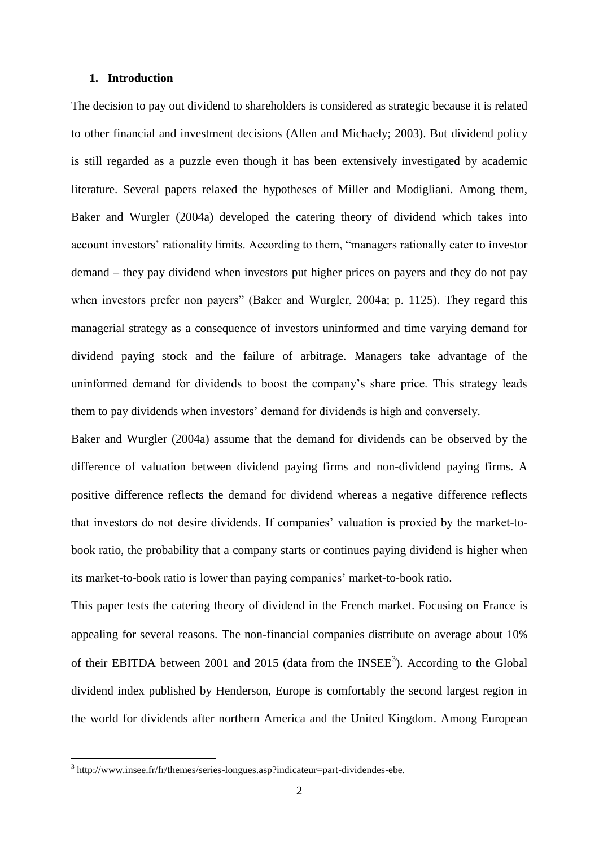#### **1. Introduction**

The decision to pay out dividend to shareholders is considered as strategic because it is related to other financial and investment decisions (Allen and Michaely; 2003). But dividend policy is still regarded as a puzzle even though it has been extensively investigated by academic literature. Several papers relaxed the hypotheses of Miller and Modigliani. Among them, Baker and Wurgler (2004a) developed the catering theory of dividend which takes into account investors' rationality limits. According to them, "managers rationally cater to investor demand – they pay dividend when investors put higher prices on payers and they do not pay when investors prefer non payers" (Baker and Wurgler, 2004a; p. 1125). They regard this managerial strategy as a consequence of investors uninformed and time varying demand for dividend paying stock and the failure of arbitrage. Managers take advantage of the uninformed demand for dividends to boost the company's share price. This strategy leads them to pay dividends when investors' demand for dividends is high and conversely.

Baker and Wurgler (2004a) assume that the demand for dividends can be observed by the difference of valuation between dividend paying firms and non-dividend paying firms. A positive difference reflects the demand for dividend whereas a negative difference reflects that investors do not desire dividends. If companies' valuation is proxied by the market-tobook ratio, the probability that a company starts or continues paying dividend is higher when its market-to-book ratio is lower than paying companies' market-to-book ratio.

This paper tests the catering theory of dividend in the French market. Focusing on France is appealing for several reasons. The non-financial companies distribute on average about 10% of their EBITDA between 2001 and 2015 (data from the  $INSEE<sup>3</sup>$ ). According to the Global dividend index published by Henderson, Europe is comfortably the second largest region in the world for dividends after northern America and the United Kingdom. Among European

1

<sup>&</sup>lt;sup>3</sup> http://www.insee.fr/fr/themes/series-longues.asp?indicateur=part-dividendes-ebe.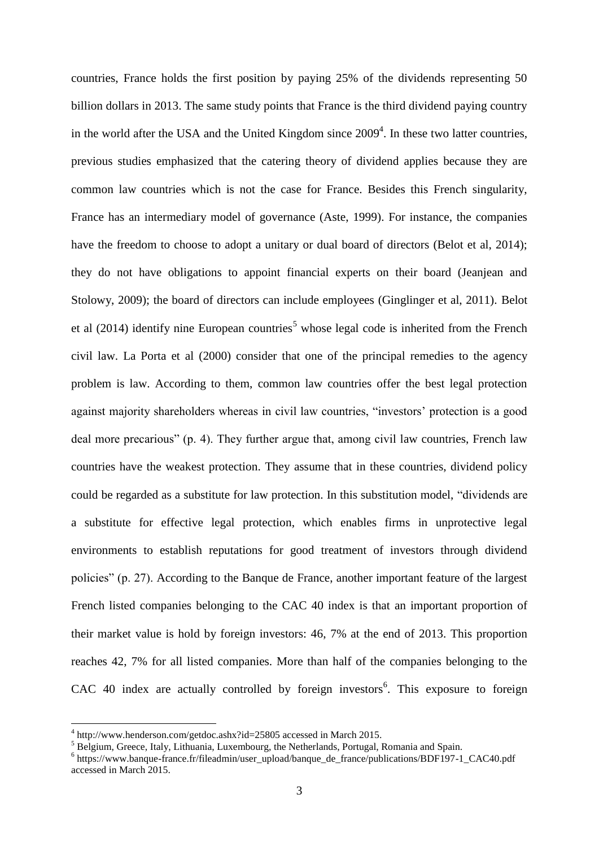countries, France holds the first position by paying 25% of the dividends representing 50 billion dollars in 2013. The same study points that France is the third dividend paying country in the world after the USA and the United Kingdom since  $2009<sup>4</sup>$ . In these two latter countries, previous studies emphasized that the catering theory of dividend applies because they are common law countries which is not the case for France. Besides this French singularity, France has an intermediary model of governance (Aste, 1999). For instance, the companies have the freedom to choose to adopt a unitary or dual board of directors (Belot et al, 2014); they do not have obligations to appoint financial experts on their board (Jeanjean and Stolowy, 2009); the board of directors can include employees (Ginglinger et al, 2011). Belot et al  $(2014)$  identify nine European countries<sup>5</sup> whose legal code is inherited from the French civil law. La Porta et al (2000) consider that one of the principal remedies to the agency problem is law. According to them, common law countries offer the best legal protection against majority shareholders whereas in civil law countries, "investors' protection is a good deal more precarious" (p. 4). They further argue that, among civil law countries, French law countries have the weakest protection. They assume that in these countries, dividend policy could be regarded as a substitute for law protection. In this substitution model, "dividends are a substitute for effective legal protection, which enables firms in unprotective legal environments to establish reputations for good treatment of investors through dividend policies" (p. 27). According to the Banque de France, another important feature of the largest French listed companies belonging to the CAC 40 index is that an important proportion of their market value is hold by foreign investors: 46, 7% at the end of 2013. This proportion reaches 42, 7% for all listed companies. More than half of the companies belonging to the  $CAC$  40 index are actually controlled by foreign investors<sup>6</sup>. This exposure to foreign

1

<sup>4</sup> http://www.henderson.com/getdoc.ashx?id=25805 accessed in March 2015.

<sup>&</sup>lt;sup>5</sup> Belgium, Greece, Italy, Lithuania, Luxembourg, the Netherlands, Portugal, Romania and Spain.

<sup>&</sup>lt;sup>6</sup> [https://www.banque-france.fr/fileadmin/user\\_upload/banque\\_de\\_france/publications/BDF197-1\\_CAC40.pdf](https://www.banque-france.fr/fileadmin/user_upload/banque_de_france/publications/BDF197-1_CAC40.pdf) accessed in March 2015.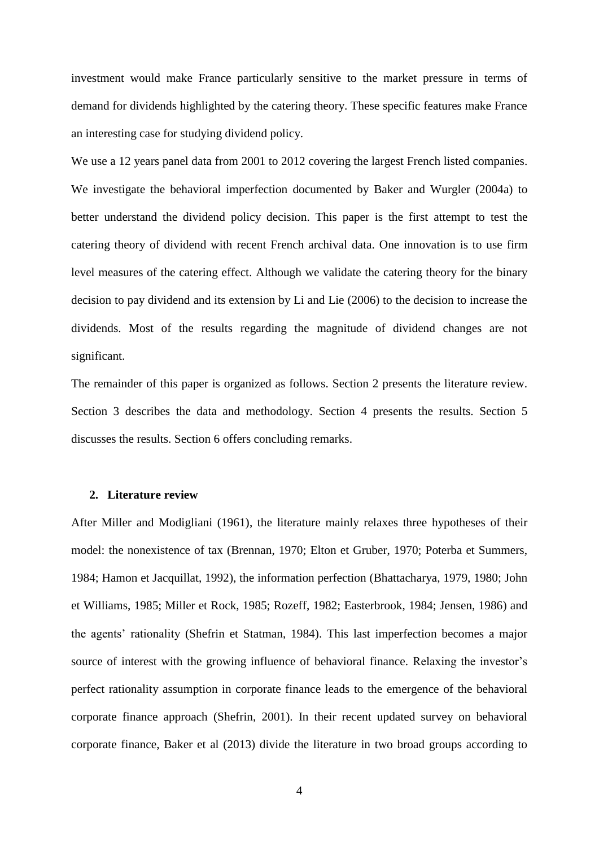investment would make France particularly sensitive to the market pressure in terms of demand for dividends highlighted by the catering theory. These specific features make France an interesting case for studying dividend policy.

We use a 12 years panel data from 2001 to 2012 covering the largest French listed companies. We investigate the behavioral imperfection documented by Baker and Wurgler (2004a) to better understand the dividend policy decision. This paper is the first attempt to test the catering theory of dividend with recent French archival data. One innovation is to use firm level measures of the catering effect. Although we validate the catering theory for the binary decision to pay dividend and its extension by Li and Lie (2006) to the decision to increase the dividends. Most of the results regarding the magnitude of dividend changes are not significant.

The remainder of this paper is organized as follows. Section 2 presents the literature review. Section 3 describes the data and methodology. Section 4 presents the results. Section 5 discusses the results. Section 6 offers concluding remarks.

#### **2. Literature review**

After Miller and Modigliani (1961), the literature mainly relaxes three hypotheses of their model: the nonexistence of tax (Brennan, 1970; Elton et Gruber, 1970; Poterba et Summers, 1984; Hamon et Jacquillat, 1992), the information perfection (Bhattacharya, 1979, 1980; John et Williams, 1985; Miller et Rock, 1985; Rozeff, 1982; Easterbrook, 1984; Jensen, 1986) and the agents' rationality (Shefrin et Statman, 1984). This last imperfection becomes a major source of interest with the growing influence of behavioral finance. Relaxing the investor's perfect rationality assumption in corporate finance leads to the emergence of the behavioral corporate finance approach (Shefrin, 2001). In their recent updated survey on behavioral corporate finance, Baker et al (2013) divide the literature in two broad groups according to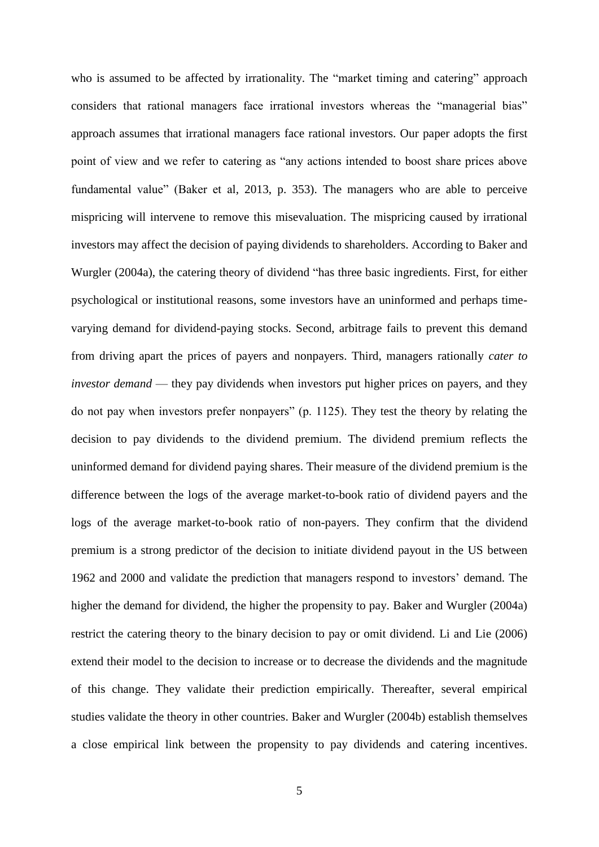who is assumed to be affected by irrationality. The "market timing and catering" approach considers that rational managers face irrational investors whereas the "managerial bias" approach assumes that irrational managers face rational investors. Our paper adopts the first point of view and we refer to catering as "any actions intended to boost share prices above fundamental value" (Baker et al, 2013, p. 353). The managers who are able to perceive mispricing will intervene to remove this misevaluation. The mispricing caused by irrational investors may affect the decision of paying dividends to shareholders. According to Baker and Wurgler (2004a), the catering theory of dividend "has three basic ingredients. First, for either psychological or institutional reasons, some investors have an uninformed and perhaps timevarying demand for dividend-paying stocks. Second, arbitrage fails to prevent this demand from driving apart the prices of payers and nonpayers. Third, managers rationally *cater to investor demand* — they pay dividends when investors put higher prices on payers, and they do not pay when investors prefer nonpayers" (p. 1125). They test the theory by relating the decision to pay dividends to the dividend premium. The dividend premium reflects the uninformed demand for dividend paying shares. Their measure of the dividend premium is the difference between the logs of the average market-to-book ratio of dividend payers and the logs of the average market-to-book ratio of non-payers. They confirm that the dividend premium is a strong predictor of the decision to initiate dividend payout in the US between 1962 and 2000 and validate the prediction that managers respond to investors' demand. The higher the demand for dividend, the higher the propensity to pay. Baker and Wurgler (2004a) restrict the catering theory to the binary decision to pay or omit dividend. Li and Lie (2006) extend their model to the decision to increase or to decrease the dividends and the magnitude of this change. They validate their prediction empirically. Thereafter, several empirical studies validate the theory in other countries. Baker and Wurgler (2004b) establish themselves a close empirical link between the propensity to pay dividends and catering incentives.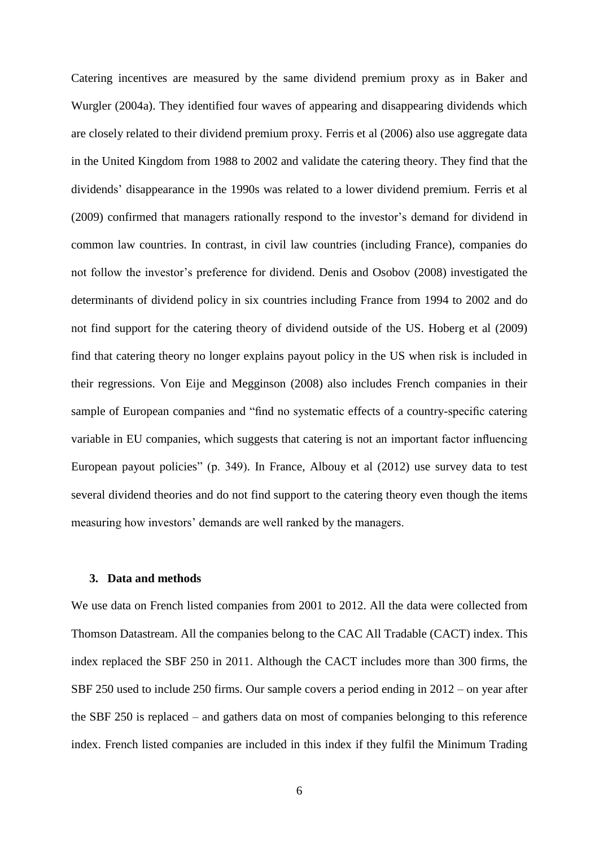Catering incentives are measured by the same dividend premium proxy as in Baker and Wurgler (2004a). They identified four waves of appearing and disappearing dividends which are closely related to their dividend premium proxy. Ferris et al (2006) also use aggregate data in the United Kingdom from 1988 to 2002 and validate the catering theory. They find that the dividends' disappearance in the 1990s was related to a lower dividend premium. Ferris et al (2009) confirmed that managers rationally respond to the investor's demand for dividend in common law countries. In contrast, in civil law countries (including France), companies do not follow the investor's preference for dividend. Denis and Osobov (2008) investigated the determinants of dividend policy in six countries including France from 1994 to 2002 and do not find support for the catering theory of dividend outside of the US. Hoberg et al (2009) find that catering theory no longer explains payout policy in the US when risk is included in their regressions. Von Eije and Megginson (2008) also includes French companies in their sample of European companies and "find no systematic effects of a country-specific catering variable in EU companies, which suggests that catering is not an important factor influencing European payout policies" (p. 349). In France, Albouy et al (2012) use survey data to test several dividend theories and do not find support to the catering theory even though the items measuring how investors' demands are well ranked by the managers.

## **3. Data and methods**

We use data on French listed companies from 2001 to 2012. All the data were collected from Thomson Datastream. All the companies belong to the CAC All Tradable (CACT) index. This index replaced the SBF 250 in 2011. Although the CACT includes more than 300 firms, the SBF 250 used to include 250 firms. Our sample covers a period ending in 2012 – on year after the SBF 250 is replaced – and gathers data on most of companies belonging to this reference index. French listed companies are included in this index if they fulfil the Minimum Trading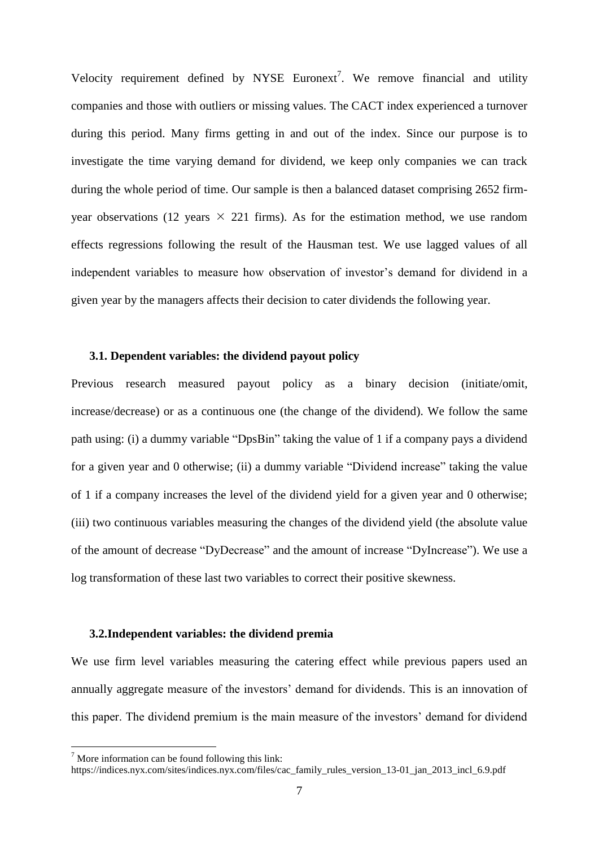Velocity requirement defined by NYSE Euronext<sup>7</sup>. We remove financial and utility companies and those with outliers or missing values. The CACT index experienced a turnover during this period. Many firms getting in and out of the index. Since our purpose is to investigate the time varying demand for dividend, we keep only companies we can track during the whole period of time. Our sample is then a balanced dataset comprising 2652 firmyear observations (12 years  $\times$  221 firms). As for the estimation method, we use random effects regressions following the result of the Hausman test. We use lagged values of all independent variables to measure how observation of investor's demand for dividend in a given year by the managers affects their decision to cater dividends the following year.

#### **3.1. Dependent variables: the dividend payout policy**

Previous research measured payout policy as a binary decision (initiate/omit, increase/decrease) or as a continuous one (the change of the dividend). We follow the same path using: (i) a dummy variable "DpsBin" taking the value of 1 if a company pays a dividend for a given year and 0 otherwise; (ii) a dummy variable "Dividend increase" taking the value of 1 if a company increases the level of the dividend yield for a given year and 0 otherwise; (iii) two continuous variables measuring the changes of the dividend yield (the absolute value of the amount of decrease "DyDecrease" and the amount of increase "DyIncrease"). We use a log transformation of these last two variables to correct their positive skewness.

## **3.2.Independent variables: the dividend premia**

We use firm level variables measuring the catering effect while previous papers used an annually aggregate measure of the investors' demand for dividends. This is an innovation of this paper. The dividend premium is the main measure of the investors' demand for dividend

<u>.</u>

 $<sup>7</sup>$  More information can be found following this link:</sup>

https://indices.nyx.com/sites/indices.nyx.com/files/cac\_family\_rules\_version\_13-01\_jan\_2013\_incl\_6.9.pdf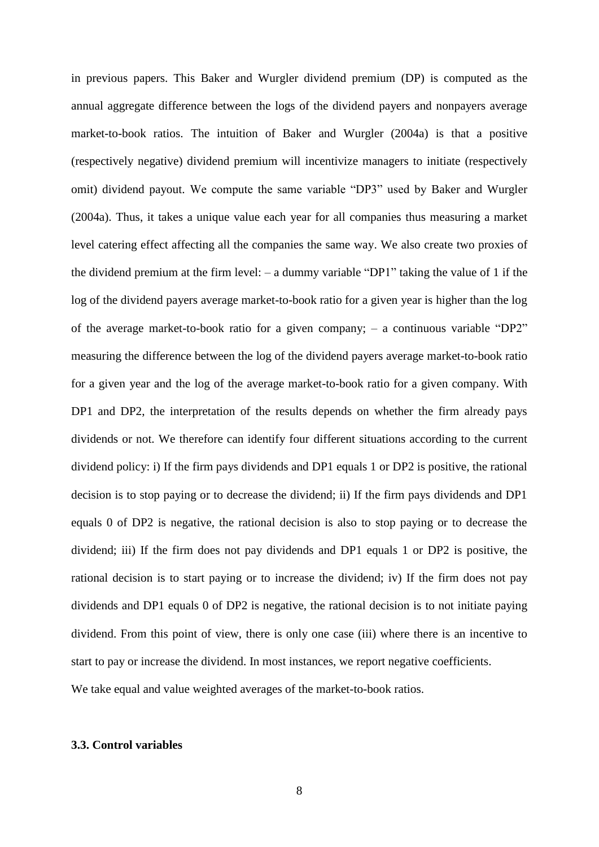in previous papers. This Baker and Wurgler dividend premium (DP) is computed as the annual aggregate difference between the logs of the dividend payers and nonpayers average market-to-book ratios. The intuition of Baker and Wurgler (2004a) is that a positive (respectively negative) dividend premium will incentivize managers to initiate (respectively omit) dividend payout. We compute the same variable "DP3" used by Baker and Wurgler (2004a). Thus, it takes a unique value each year for all companies thus measuring a market level catering effect affecting all the companies the same way. We also create two proxies of the dividend premium at the firm level: – a dummy variable "DP1" taking the value of 1 if the log of the dividend payers average market-to-book ratio for a given year is higher than the log of the average market-to-book ratio for a given company; – a continuous variable "DP2" measuring the difference between the log of the dividend payers average market-to-book ratio for a given year and the log of the average market-to-book ratio for a given company. With DP1 and DP2, the interpretation of the results depends on whether the firm already pays dividends or not. We therefore can identify four different situations according to the current dividend policy: i) If the firm pays dividends and DP1 equals 1 or DP2 is positive, the rational decision is to stop paying or to decrease the dividend; ii) If the firm pays dividends and DP1 equals 0 of DP2 is negative, the rational decision is also to stop paying or to decrease the dividend; iii) If the firm does not pay dividends and DP1 equals 1 or DP2 is positive, the rational decision is to start paying or to increase the dividend; iv) If the firm does not pay dividends and DP1 equals 0 of DP2 is negative, the rational decision is to not initiate paying dividend. From this point of view, there is only one case (iii) where there is an incentive to start to pay or increase the dividend. In most instances, we report negative coefficients. We take equal and value weighted averages of the market-to-book ratios.

## **3.3. Control variables**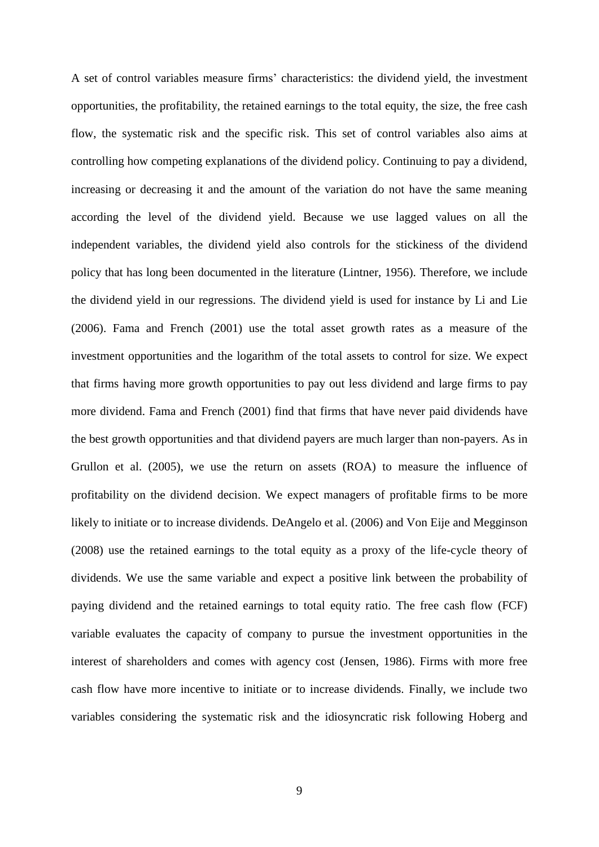A set of control variables measure firms' characteristics: the dividend yield, the investment opportunities, the profitability, the retained earnings to the total equity, the size, the free cash flow, the systematic risk and the specific risk. This set of control variables also aims at controlling how competing explanations of the dividend policy. Continuing to pay a dividend, increasing or decreasing it and the amount of the variation do not have the same meaning according the level of the dividend yield. Because we use lagged values on all the independent variables, the dividend yield also controls for the stickiness of the dividend policy that has long been documented in the literature (Lintner, 1956). Therefore, we include the dividend yield in our regressions. The dividend yield is used for instance by Li and Lie (2006). Fama and French (2001) use the total asset growth rates as a measure of the investment opportunities and the logarithm of the total assets to control for size. We expect that firms having more growth opportunities to pay out less dividend and large firms to pay more dividend. Fama and French (2001) find that firms that have never paid dividends have the best growth opportunities and that dividend payers are much larger than non-payers. As in Grullon et al. (2005), we use the return on assets (ROA) to measure the influence of profitability on the dividend decision. We expect managers of profitable firms to be more likely to initiate or to increase dividends. DeAngelo et al. (2006) and Von Eije and Megginson (2008) use the retained earnings to the total equity as a proxy of the life-cycle theory of dividends. We use the same variable and expect a positive link between the probability of paying dividend and the retained earnings to total equity ratio. The free cash flow (FCF) variable evaluates the capacity of company to pursue the investment opportunities in the interest of shareholders and comes with agency cost (Jensen, 1986). Firms with more free cash flow have more incentive to initiate or to increase dividends. Finally, we include two variables considering the systematic risk and the idiosyncratic risk following Hoberg and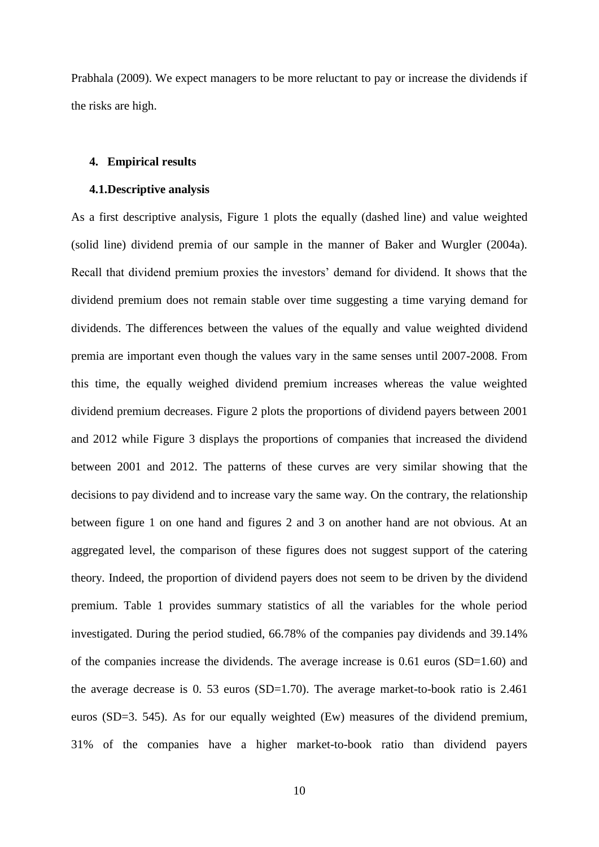Prabhala (2009). We expect managers to be more reluctant to pay or increase the dividends if the risks are high.

## **4. Empirical results**

#### **4.1.Descriptive analysis**

As a first descriptive analysis, Figure 1 plots the equally (dashed line) and value weighted (solid line) dividend premia of our sample in the manner of Baker and Wurgler (2004a). Recall that dividend premium proxies the investors' demand for dividend. It shows that the dividend premium does not remain stable over time suggesting a time varying demand for dividends. The differences between the values of the equally and value weighted dividend premia are important even though the values vary in the same senses until 2007-2008. From this time, the equally weighed dividend premium increases whereas the value weighted dividend premium decreases. Figure 2 plots the proportions of dividend payers between 2001 and 2012 while Figure 3 displays the proportions of companies that increased the dividend between 2001 and 2012. The patterns of these curves are very similar showing that the decisions to pay dividend and to increase vary the same way. On the contrary, the relationship between figure 1 on one hand and figures 2 and 3 on another hand are not obvious. At an aggregated level, the comparison of these figures does not suggest support of the catering theory. Indeed, the proportion of dividend payers does not seem to be driven by the dividend premium. Table 1 provides summary statistics of all the variables for the whole period investigated. During the period studied, 66.78% of the companies pay dividends and 39.14% of the companies increase the dividends. The average increase is 0.61 euros (SD=1.60) and the average decrease is 0. 53 euros (SD=1.70). The average market-to-book ratio is 2.461 euros (SD=3. 545). As for our equally weighted (Ew) measures of the dividend premium, 31% of the companies have a higher market-to-book ratio than dividend payers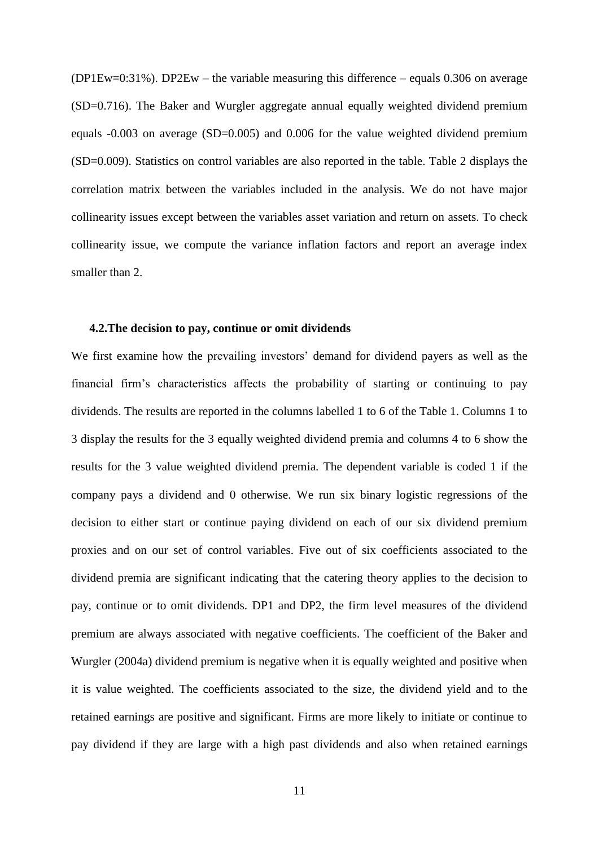(DP1Ew=0:31%). DP2Ew – the variable measuring this difference – equals 0.306 on average (SD=0.716). The Baker and Wurgler aggregate annual equally weighted dividend premium equals -0.003 on average (SD=0.005) and 0.006 for the value weighted dividend premium (SD=0.009). Statistics on control variables are also reported in the table. Table 2 displays the correlation matrix between the variables included in the analysis. We do not have major collinearity issues except between the variables asset variation and return on assets. To check collinearity issue, we compute the variance inflation factors and report an average index smaller than 2.

## **4.2.The decision to pay, continue or omit dividends**

We first examine how the prevailing investors' demand for dividend payers as well as the financial firm's characteristics affects the probability of starting or continuing to pay dividends. The results are reported in the columns labelled 1 to 6 of the Table 1. Columns 1 to 3 display the results for the 3 equally weighted dividend premia and columns 4 to 6 show the results for the 3 value weighted dividend premia. The dependent variable is coded 1 if the company pays a dividend and 0 otherwise. We run six binary logistic regressions of the decision to either start or continue paying dividend on each of our six dividend premium proxies and on our set of control variables. Five out of six coefficients associated to the dividend premia are significant indicating that the catering theory applies to the decision to pay, continue or to omit dividends. DP1 and DP2, the firm level measures of the dividend premium are always associated with negative coefficients. The coefficient of the Baker and Wurgler (2004a) dividend premium is negative when it is equally weighted and positive when it is value weighted. The coefficients associated to the size, the dividend yield and to the retained earnings are positive and significant. Firms are more likely to initiate or continue to pay dividend if they are large with a high past dividends and also when retained earnings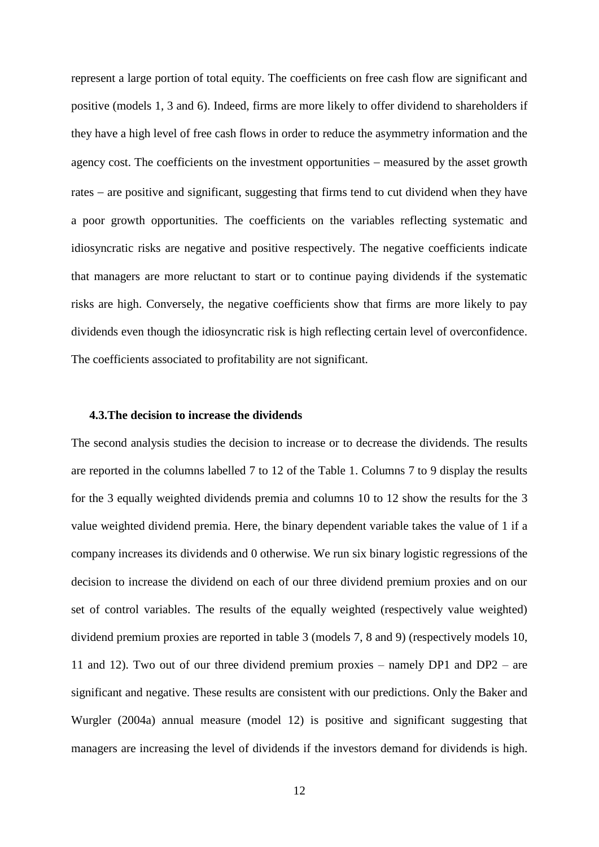represent a large portion of total equity. The coefficients on free cash flow are significant and positive (models 1, 3 and 6). Indeed, firms are more likely to offer dividend to shareholders if they have a high level of free cash flows in order to reduce the asymmetry information and the agency cost. The coefficients on the investment opportunities – measured by the asset growth rates – are positive and significant, suggesting that firms tend to cut dividend when they have a poor growth opportunities. The coefficients on the variables reflecting systematic and idiosyncratic risks are negative and positive respectively. The negative coefficients indicate that managers are more reluctant to start or to continue paying dividends if the systematic risks are high. Conversely, the negative coefficients show that firms are more likely to pay dividends even though the idiosyncratic risk is high reflecting certain level of overconfidence. The coefficients associated to profitability are not significant.

## **4.3.The decision to increase the dividends**

The second analysis studies the decision to increase or to decrease the dividends. The results are reported in the columns labelled 7 to 12 of the Table 1. Columns 7 to 9 display the results for the 3 equally weighted dividends premia and columns 10 to 12 show the results for the 3 value weighted dividend premia. Here, the binary dependent variable takes the value of 1 if a company increases its dividends and 0 otherwise. We run six binary logistic regressions of the decision to increase the dividend on each of our three dividend premium proxies and on our set of control variables. The results of the equally weighted (respectively value weighted) dividend premium proxies are reported in table 3 (models 7, 8 and 9) (respectively models 10, 11 and 12). Two out of our three dividend premium proxies – namely DP1 and DP2 – are significant and negative. These results are consistent with our predictions. Only the Baker and Wurgler (2004a) annual measure (model 12) is positive and significant suggesting that managers are increasing the level of dividends if the investors demand for dividends is high.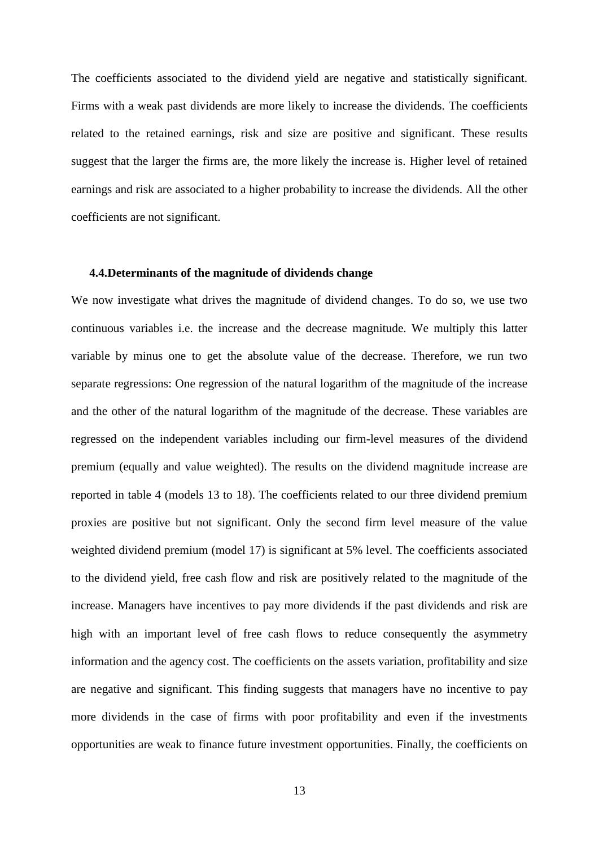The coefficients associated to the dividend yield are negative and statistically significant. Firms with a weak past dividends are more likely to increase the dividends. The coefficients related to the retained earnings, risk and size are positive and significant. These results suggest that the larger the firms are, the more likely the increase is. Higher level of retained earnings and risk are associated to a higher probability to increase the dividends. All the other coefficients are not significant.

## **4.4.Determinants of the magnitude of dividends change**

We now investigate what drives the magnitude of dividend changes. To do so, we use two continuous variables i.e. the increase and the decrease magnitude. We multiply this latter variable by minus one to get the absolute value of the decrease. Therefore, we run two separate regressions: One regression of the natural logarithm of the magnitude of the increase and the other of the natural logarithm of the magnitude of the decrease. These variables are regressed on the independent variables including our firm-level measures of the dividend premium (equally and value weighted). The results on the dividend magnitude increase are reported in table 4 (models 13 to 18). The coefficients related to our three dividend premium proxies are positive but not significant. Only the second firm level measure of the value weighted dividend premium (model 17) is significant at 5% level. The coefficients associated to the dividend yield, free cash flow and risk are positively related to the magnitude of the increase. Managers have incentives to pay more dividends if the past dividends and risk are high with an important level of free cash flows to reduce consequently the asymmetry information and the agency cost. The coefficients on the assets variation, profitability and size are negative and significant. This finding suggests that managers have no incentive to pay more dividends in the case of firms with poor profitability and even if the investments opportunities are weak to finance future investment opportunities. Finally, the coefficients on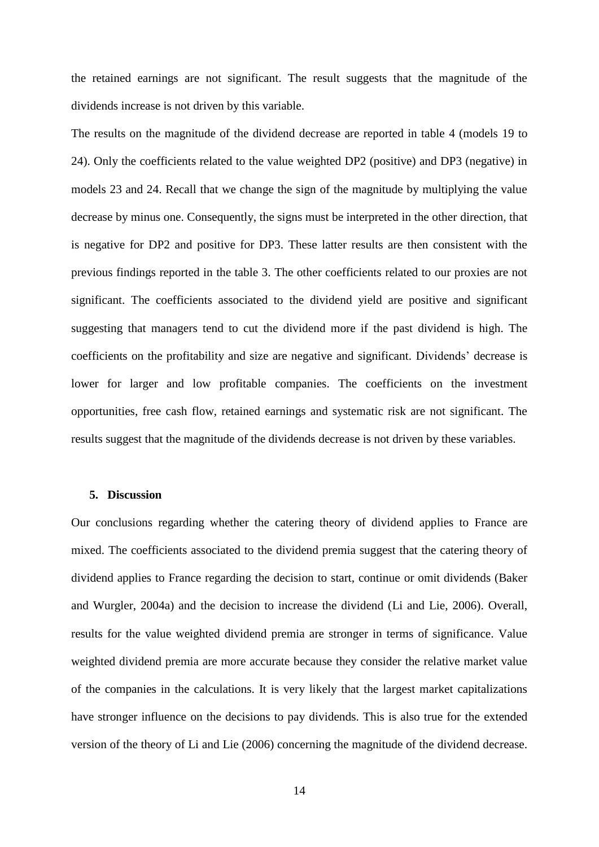the retained earnings are not significant. The result suggests that the magnitude of the dividends increase is not driven by this variable.

The results on the magnitude of the dividend decrease are reported in table 4 (models 19 to 24). Only the coefficients related to the value weighted DP2 (positive) and DP3 (negative) in models 23 and 24. Recall that we change the sign of the magnitude by multiplying the value decrease by minus one. Consequently, the signs must be interpreted in the other direction, that is negative for DP2 and positive for DP3. These latter results are then consistent with the previous findings reported in the table 3. The other coefficients related to our proxies are not significant. The coefficients associated to the dividend yield are positive and significant suggesting that managers tend to cut the dividend more if the past dividend is high. The coefficients on the profitability and size are negative and significant. Dividends' decrease is lower for larger and low profitable companies. The coefficients on the investment opportunities, free cash flow, retained earnings and systematic risk are not significant. The results suggest that the magnitude of the dividends decrease is not driven by these variables.

#### **5. Discussion**

Our conclusions regarding whether the catering theory of dividend applies to France are mixed. The coefficients associated to the dividend premia suggest that the catering theory of dividend applies to France regarding the decision to start, continue or omit dividends (Baker and Wurgler, 2004a) and the decision to increase the dividend (Li and Lie, 2006). Overall, results for the value weighted dividend premia are stronger in terms of significance. Value weighted dividend premia are more accurate because they consider the relative market value of the companies in the calculations. It is very likely that the largest market capitalizations have stronger influence on the decisions to pay dividends. This is also true for the extended version of the theory of Li and Lie (2006) concerning the magnitude of the dividend decrease.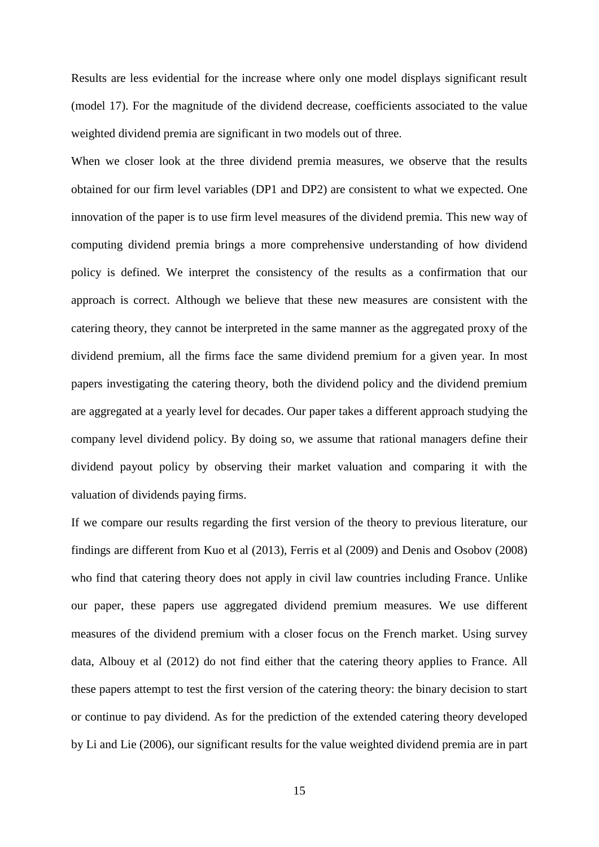Results are less evidential for the increase where only one model displays significant result (model 17). For the magnitude of the dividend decrease, coefficients associated to the value weighted dividend premia are significant in two models out of three.

When we closer look at the three dividend premia measures, we observe that the results obtained for our firm level variables (DP1 and DP2) are consistent to what we expected. One innovation of the paper is to use firm level measures of the dividend premia. This new way of computing dividend premia brings a more comprehensive understanding of how dividend policy is defined. We interpret the consistency of the results as a confirmation that our approach is correct. Although we believe that these new measures are consistent with the catering theory, they cannot be interpreted in the same manner as the aggregated proxy of the dividend premium, all the firms face the same dividend premium for a given year. In most papers investigating the catering theory, both the dividend policy and the dividend premium are aggregated at a yearly level for decades. Our paper takes a different approach studying the company level dividend policy. By doing so, we assume that rational managers define their dividend payout policy by observing their market valuation and comparing it with the valuation of dividends paying firms.

If we compare our results regarding the first version of the theory to previous literature, our findings are different from Kuo et al (2013), Ferris et al (2009) and Denis and Osobov (2008) who find that catering theory does not apply in civil law countries including France. Unlike our paper, these papers use aggregated dividend premium measures. We use different measures of the dividend premium with a closer focus on the French market. Using survey data, Albouy et al (2012) do not find either that the catering theory applies to France. All these papers attempt to test the first version of the catering theory: the binary decision to start or continue to pay dividend. As for the prediction of the extended catering theory developed by Li and Lie (2006), our significant results for the value weighted dividend premia are in part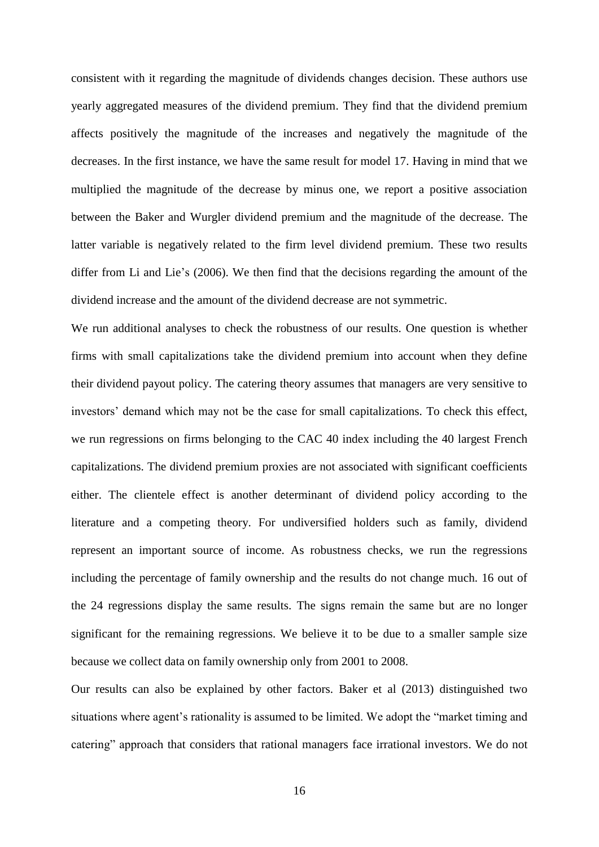consistent with it regarding the magnitude of dividends changes decision. These authors use yearly aggregated measures of the dividend premium. They find that the dividend premium affects positively the magnitude of the increases and negatively the magnitude of the decreases. In the first instance, we have the same result for model 17. Having in mind that we multiplied the magnitude of the decrease by minus one, we report a positive association between the Baker and Wurgler dividend premium and the magnitude of the decrease. The latter variable is negatively related to the firm level dividend premium. These two results differ from Li and Lie's (2006). We then find that the decisions regarding the amount of the dividend increase and the amount of the dividend decrease are not symmetric.

We run additional analyses to check the robustness of our results. One question is whether firms with small capitalizations take the dividend premium into account when they define their dividend payout policy. The catering theory assumes that managers are very sensitive to investors' demand which may not be the case for small capitalizations. To check this effect, we run regressions on firms belonging to the CAC 40 index including the 40 largest French capitalizations. The dividend premium proxies are not associated with significant coefficients either. The clientele effect is another determinant of dividend policy according to the literature and a competing theory. For undiversified holders such as family, dividend represent an important source of income. As robustness checks, we run the regressions including the percentage of family ownership and the results do not change much. 16 out of the 24 regressions display the same results. The signs remain the same but are no longer significant for the remaining regressions. We believe it to be due to a smaller sample size because we collect data on family ownership only from 2001 to 2008.

Our results can also be explained by other factors. Baker et al (2013) distinguished two situations where agent's rationality is assumed to be limited. We adopt the "market timing and catering" approach that considers that rational managers face irrational investors. We do not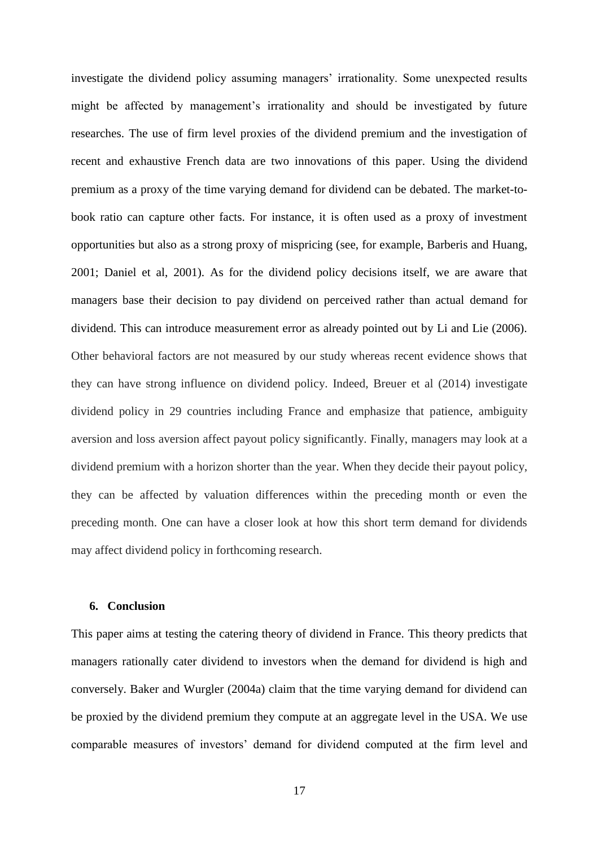investigate the dividend policy assuming managers' irrationality. Some unexpected results might be affected by management's irrationality and should be investigated by future researches. The use of firm level proxies of the dividend premium and the investigation of recent and exhaustive French data are two innovations of this paper. Using the dividend premium as a proxy of the time varying demand for dividend can be debated. The market-tobook ratio can capture other facts. For instance, it is often used as a proxy of investment opportunities but also as a strong proxy of mispricing (see, for example, Barberis and Huang, 2001; Daniel et al, 2001). As for the dividend policy decisions itself, we are aware that managers base their decision to pay dividend on perceived rather than actual demand for dividend. This can introduce measurement error as already pointed out by Li and Lie (2006). Other behavioral factors are not measured by our study whereas recent evidence shows that they can have strong influence on dividend policy. Indeed, Breuer et al (2014) investigate dividend policy in 29 countries including France and emphasize that patience, ambiguity aversion and loss aversion affect payout policy significantly. Finally, managers may look at a dividend premium with a horizon shorter than the year. When they decide their payout policy, they can be affected by valuation differences within the preceding month or even the preceding month. One can have a closer look at how this short term demand for dividends may affect dividend policy in forthcoming research.

#### **6. Conclusion**

This paper aims at testing the catering theory of dividend in France. This theory predicts that managers rationally cater dividend to investors when the demand for dividend is high and conversely. Baker and Wurgler (2004a) claim that the time varying demand for dividend can be proxied by the dividend premium they compute at an aggregate level in the USA. We use comparable measures of investors' demand for dividend computed at the firm level and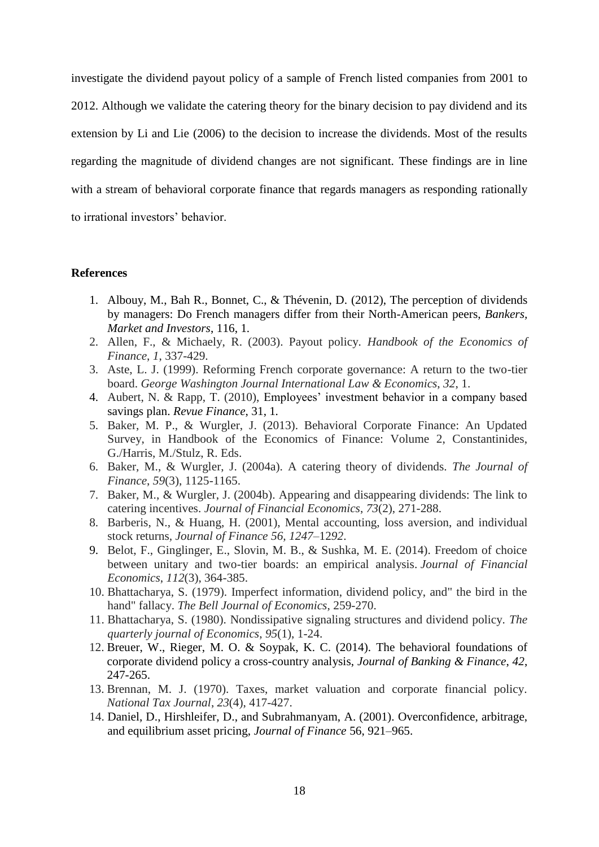investigate the dividend payout policy of a sample of French listed companies from 2001 to 2012. Although we validate the catering theory for the binary decision to pay dividend and its extension by Li and Lie (2006) to the decision to increase the dividends. Most of the results regarding the magnitude of dividend changes are not significant. These findings are in line with a stream of behavioral corporate finance that regards managers as responding rationally to irrational investors' behavior.

#### **References**

- 1. Albouy, M., Bah R., Bonnet, C., & Thévenin, D. (2012), The perception of dividends by managers: Do French managers differ from their North-American peers, *Bankers, Market and Investors*, 116, 1*.*
- 2. Allen, F., & Michaely, R. (2003). Payout policy. *Handbook of the Economics of Finance*, *1*, 337-429.
- 3. Aste, L. J. (1999). Reforming French corporate governance: A return to the two-tier board. *George Washington Journal International Law & Economics*, *32*, 1.
- 4. Aubert, N. & Rapp, T. (2010), Employees' investment behavior in a company based savings plan. *Revue Finance*, 31, 1*.*
- 5. Baker, M. P., & Wurgler, J. (2013). Behavioral Corporate Finance: An Updated Survey, in Handbook of the Economics of Finance: Volume 2, Constantinides, G./Harris, M./Stulz, R. Eds.
- 6. Baker, M., & Wurgler, J. (2004a). A catering theory of dividends. *The Journal of Finance*, *59*(3), 1125-1165.
- 7. Baker, M., & Wurgler, J. (2004b). Appearing and disappearing dividends: The link to catering incentives. *Journal of Financial Economics*, *73*(2), 271-288.
- 8. Barberis, N., & Huang, H. (2001), Mental accounting, loss aversion, and individual stock returns*, Journal of Finance 56, 1247–*12*92*.
- 9. Belot, F., Ginglinger, E., Slovin, M. B., & Sushka, M. E. (2014). Freedom of choice between unitary and two-tier boards: an empirical analysis. *Journal of Financial Economics*, *112*(3), 364-385.
- 10. Bhattacharya, S. (1979). Imperfect information, dividend policy, and" the bird in the hand" fallacy. *The Bell Journal of Economics*, 259-270.
- 11. Bhattacharya, S. (1980). Nondissipative signaling structures and dividend policy. *The quarterly journal of Economics*, *95*(1), 1-24.
- 12. Breuer, W., Rieger, M. O. & Soypak, K. C. (2014). The behavioral foundations of corporate dividend policy a cross-country analysis, *Journal of Banking & Finance*, *42*, 247-265.
- 13. Brennan, M. J. (1970). Taxes, market valuation and corporate financial policy. *National Tax Journal*, *23*(4), 417-427.
- 14. Daniel, D., Hirshleifer, D., and Subrahmanyam, A. (2001). Overconfidence, arbitrage, and equilibrium asset pricing, *Journal of Finance* 56, 921–965.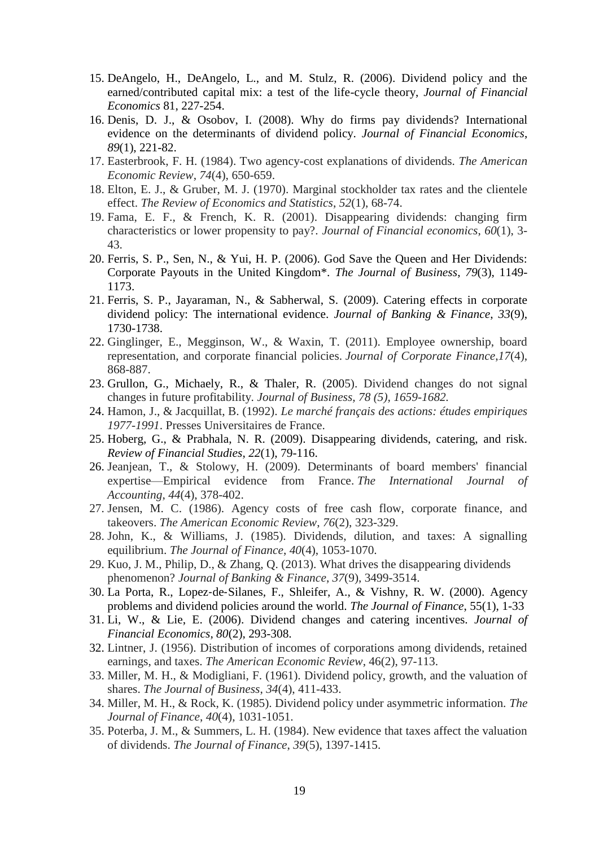- 15. DeAngelo, H., DeAngelo, L., and M. Stulz, R. (2006). Dividend policy and the earned/contributed capital mix: a test of the life-cycle theory, *Journal of Financial Economics* 81, 227-254.
- 16. Denis, D. J., & Osobov, I. (2008). Why do firms pay dividends? International evidence on the determinants of dividend policy. *Journal of Financial Economics*, *89*(1), 221-82.
- 17. Easterbrook, F. H. (1984). Two agency-cost explanations of dividends. *The American Economic Review*, *74*(4), 650-659.
- 18. Elton, E. J., & Gruber, M. J. (1970). Marginal stockholder tax rates and the clientele effect. *The Review of Economics and Statistics*, *52*(1), 68-74.
- 19. Fama, E. F., & French, K. R. (2001). Disappearing dividends: changing firm characteristics or lower propensity to pay?. *Journal of Financial economics*, *60*(1), 3- 43.
- 20. Ferris, S. P., Sen, N., & Yui, H. P. (2006). God Save the Queen and Her Dividends: Corporate Payouts in the United Kingdom\*. *The Journal of Business*, *79*(3), 1149- 1173.
- 21. Ferris, S. P., Jayaraman, N., & Sabherwal, S. (2009). Catering effects in corporate dividend policy: The international evidence. *Journal of Banking & Finance*, *33*(9), 1730-1738.
- 22. Ginglinger, E., Megginson, W., & Waxin, T. (2011). Employee ownership, board representation, and corporate financial policies. *Journal of Corporate Finance*,*17*(4), 868-887.
- 23. Grullon, G., Michaely, R., & Thaler, R. (2005). Dividend changes do not signal changes in future profitability. *Journal of Business, 78 (5), 1659-1682.*
- 24. Hamon, J., & Jacquillat, B. (1992). *Le marché français des actions: études empiriques 1977-1991*. Presses Universitaires de France.
- 25. Hoberg, G., & Prabhala, N. R. (2009). Disappearing dividends, catering, and risk. *Review of Financial Studies*, *22*(1), 79-116.
- 26. Jeanjean, T., & Stolowy, H. (2009). Determinants of board members' financial expertise—Empirical evidence from France. *The International Journal of Accounting*, *44*(4), 378-402.
- 27. Jensen, M. C. (1986). Agency costs of free cash flow, corporate finance, and takeovers. *The American Economic Review*, *76*(2), 323-329.
- 28. John, K., & Williams, J. (1985). Dividends, dilution, and taxes: A signalling equilibrium. *The Journal of Finance*, *40*(4), 1053-1070.
- 29. Kuo, J. M., Philip, D., & Zhang, Q. (2013). What drives the disappearing dividends phenomenon? *Journal of Banking & Finance*, *37*(9), 3499-3514.
- 30. La Porta, R., Lopez‐de‐Silanes, F., Shleifer, A., & Vishny, R. W. (2000). Agency problems and dividend policies around the world. *The Journal of Finance*, 55(1), 1-33
- 31. Li, W., & Lie, E. (2006). Dividend changes and catering incentives. *Journal of Financial Economics*, *80*(2), 293-308.
- 32. Lintner, J. (1956). Distribution of incomes of corporations among dividends, retained earnings, and taxes. *The American Economic Review*, 46(2), 97-113.
- 33. Miller, M. H., & Modigliani, F. (1961). Dividend policy, growth, and the valuation of shares. *The Journal of Business*, *34*(4), 411-433.
- 34. Miller, M. H., & Rock, K. (1985). Dividend policy under asymmetric information. *The Journal of Finance*, *40*(4), 1031-1051.
- 35. Poterba, J. M., & Summers, L. H. (1984). New evidence that taxes affect the valuation of dividends. *The Journal of Finance*, *39*(5), 1397-1415.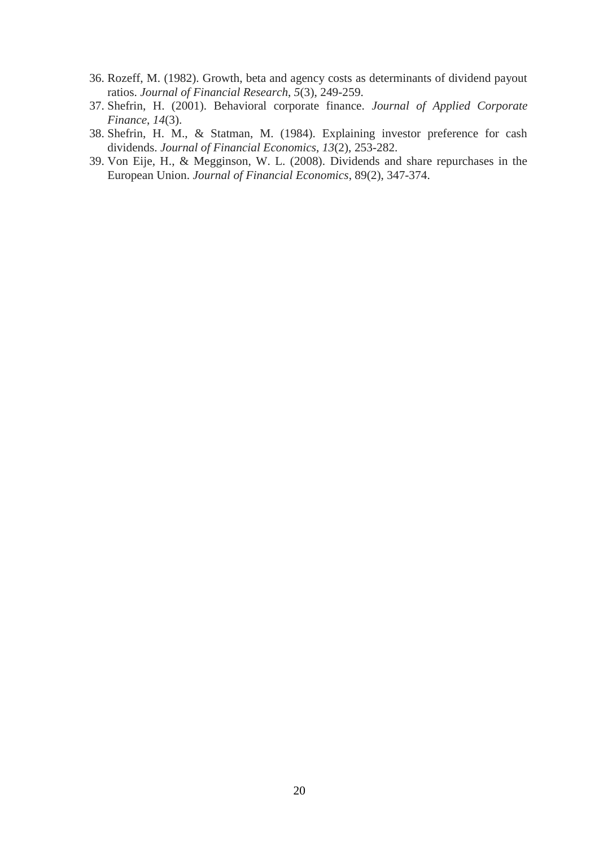- 36. Rozeff, M. (1982). Growth, beta and agency costs as determinants of dividend payout ratios. *Journal of Financial Research*, *5*(3), 249-259.
- 37. Shefrin, H. (2001). Behavioral corporate finance. *Journal of Applied Corporate Finance*, *14*(3).
- 38. Shefrin, H. M., & Statman, M. (1984). Explaining investor preference for cash dividends. *Journal of Financial Economics*, *13*(2), 253-282.
- 39. Von Eije, H., & Megginson, W. L. (2008). Dividends and share repurchases in the European Union. *Journal of Financial Economics*, 89(2), 347-374.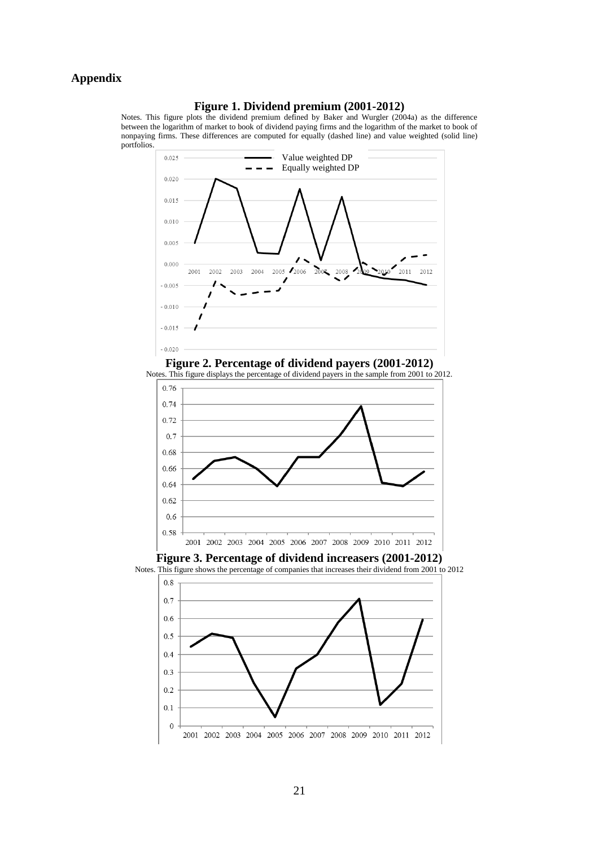## **Appendix**

## **Figure 1. Dividend premium (2001-2012)**

Notes. This figure plots the dividend premium defined by Baker and Wurgler (2004a) as the difference between the logarithm of market to book of dividend paying firms and the logarithm of the market to book of nonpaying firms. These differences are computed for equally (dashed line) and value weighted (solid line) portfolios.











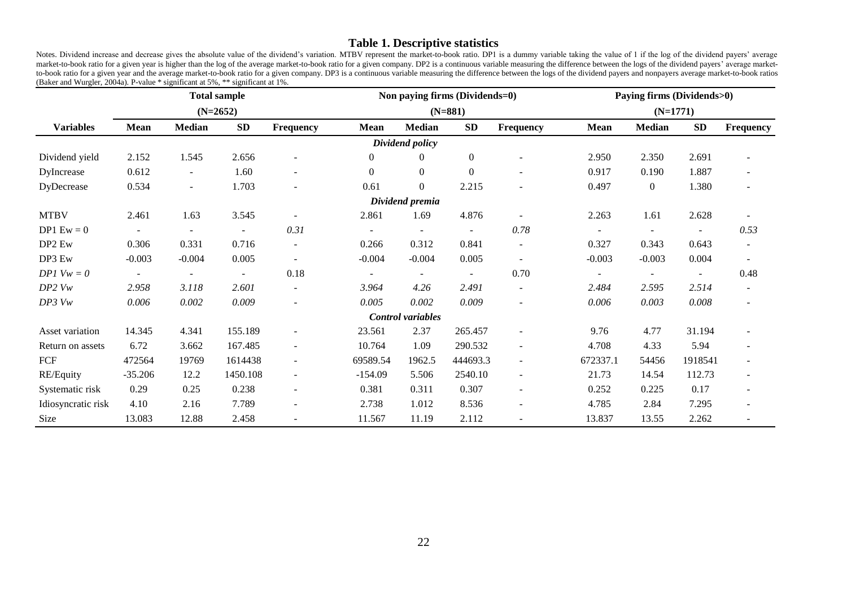## **Table 1. Descriptive statistics**

Notes. Dividend increase and decrease gives the absolute value of the dividend's variation. MTBV represent the market-to-book ratio. DP1 is a dummy variable taking the value of 1 if the log of the dividend payers' average market-to-book ratio for a given year is higher than the log of the average market-to-book ratio for a given company. DP2 is a continuous variable measuring the difference between the logs of the dividend payers' average m to-book ratio for a given year and the average market-to-book ratio for a given company. DP3 is a continuous variable measuring the difference between the logs of the dividend payers and nonpayers average market-to-book ra (Baker and Wurgler, 2004a). P-value \* significant at 5%, \*\* significant at 1%.

|                    | <b>Total sample</b> |                          |                          |                          |                          |                          | Non paying firms (Dividends=0) |                          | Paying firms (Dividends>0) |                  |           |                |  |
|--------------------|---------------------|--------------------------|--------------------------|--------------------------|--------------------------|--------------------------|--------------------------------|--------------------------|----------------------------|------------------|-----------|----------------|--|
|                    |                     |                          | $(N=2652)$               |                          |                          |                          | $(N=881)$                      |                          | $(N=1771)$                 |                  |           |                |  |
| <b>Variables</b>   | <b>Mean</b>         | <b>Median</b>            | SD                       | Frequency                | Mean                     | <b>Median</b>            | <b>SD</b>                      | <b>Frequency</b>         | <b>Mean</b>                | <b>Median</b>    | <b>SD</b> | Frequency      |  |
|                    |                     |                          |                          |                          |                          | Dividend policy          |                                |                          |                            |                  |           |                |  |
| Dividend yield     | 2.152               | 1.545                    | 2.656                    | ۰                        | $\overline{0}$           | $\left($                 | $\boldsymbol{0}$               |                          | 2.950                      | 2.350            | 2.691     |                |  |
| DyIncrease         | 0.612               | $\overline{\phantom{a}}$ | 1.60                     | ۰                        | $\overline{0}$           | $\overline{0}$           | $\boldsymbol{0}$               |                          | 0.917                      | 0.190            | 1.887     |                |  |
| DyDecrease         | 0.534               | $\blacksquare$           | 1.703                    |                          | 0.61                     | $\overline{0}$           | 2.215                          |                          | 0.497                      | $\boldsymbol{0}$ | 1.380     |                |  |
|                    |                     |                          |                          |                          |                          | Dividend premia          |                                |                          |                            |                  |           |                |  |
| <b>MTBV</b>        | 2.461               | 1.63                     | 3.545                    | $\overline{a}$           | 2.861                    | 1.69                     | 4.876                          | $\sim$                   | 2.263                      | 1.61             | 2.628     |                |  |
| $DP1 Ew = 0$       | $\sim$              |                          | $\overline{\phantom{a}}$ | 0.31                     | $\overline{\phantom{a}}$ | $\overline{\phantom{a}}$ | $\overline{\phantom{a}}$       | 0.78                     | $\sim$                     | $\blacksquare$   |           | 0.53           |  |
| DP <sub>2</sub> Ew | 0.306               | 0.331                    | 0.716                    | $\overline{\phantom{a}}$ | 0.266                    | 0.312                    | 0.841                          | ٠                        | 0.327                      | 0.343            | 0.643     |                |  |
| DP3 Ew             | $-0.003$            | $-0.004$                 | 0.005                    | $\overline{a}$           | $-0.004$                 | $-0.004$                 | 0.005                          | $\blacksquare$           | $-0.003$                   | $-0.003$         | 0.004     |                |  |
| $DPI$ $Vw = 0$     | $\blacksquare$      |                          | $\overline{\phantom{a}}$ | 0.18                     | $\sim$                   | $\blacksquare$           | $\blacksquare$                 | 0.70                     | $\sim$                     | $\overline{a}$   | $\sim$    | 0.48           |  |
| $DP2$ $Vw$         | 2.958               | 3.118                    | 2.601                    | $\blacksquare$           | 3.964                    | 4.26                     | 2.491                          | $\sim$                   | 2.484                      | 2.595            | 2.514     | $\blacksquare$ |  |
| $DP3$ $Vw$         | 0.006               | 0.002                    | 0.009                    | $\overline{\phantom{a}}$ | 0.005                    | 0.002                    | 0.009                          | $\overline{\phantom{a}}$ | 0.006                      | 0.003            | 0.008     | $\blacksquare$ |  |
|                    |                     |                          |                          |                          |                          | Control variables        |                                |                          |                            |                  |           |                |  |
| Asset variation    | 14.345              | 4.341                    | 155.189                  | $\blacksquare$           | 23.561                   | 2.37                     | 265.457                        |                          | 9.76                       | 4.77             | 31.194    |                |  |
| Return on assets   | 6.72                | 3.662                    | 167.485                  | $\overline{\phantom{a}}$ | 10.764                   | 1.09                     | 290.532                        | ÷                        | 4.708                      | 4.33             | 5.94      |                |  |
| FCF                | 472564              | 19769                    | 1614438                  | $\blacksquare$           | 69589.54                 | 1962.5                   | 444693.3                       | ÷                        | 672337.1                   | 54456            | 1918541   |                |  |
| RE/Equity          | $-35.206$           | 12.2                     | 1450.108                 | $\sim$                   | $-154.09$                | 5.506                    | 2540.10                        | ٠                        | 21.73                      | 14.54            | 112.73    |                |  |
| Systematic risk    | 0.29                | 0.25                     | 0.238                    | $\sim$                   | 0.381                    | 0.311                    | 0.307                          | ÷.                       | 0.252                      | 0.225            | 0.17      | $\blacksquare$ |  |
| Idiosyncratic risk | 4.10                | 2.16                     | 7.789                    | ۰                        | 2.738                    | 1.012                    | 8.536                          | ۰                        | 4.785                      | 2.84             | 7.295     |                |  |
| Size               | 13.083              | 12.88                    | 2.458                    | $\overline{\phantom{a}}$ | 11.567                   | 11.19                    | 2.112                          | ÷.                       | 13.837                     | 13.55            | 2.262     |                |  |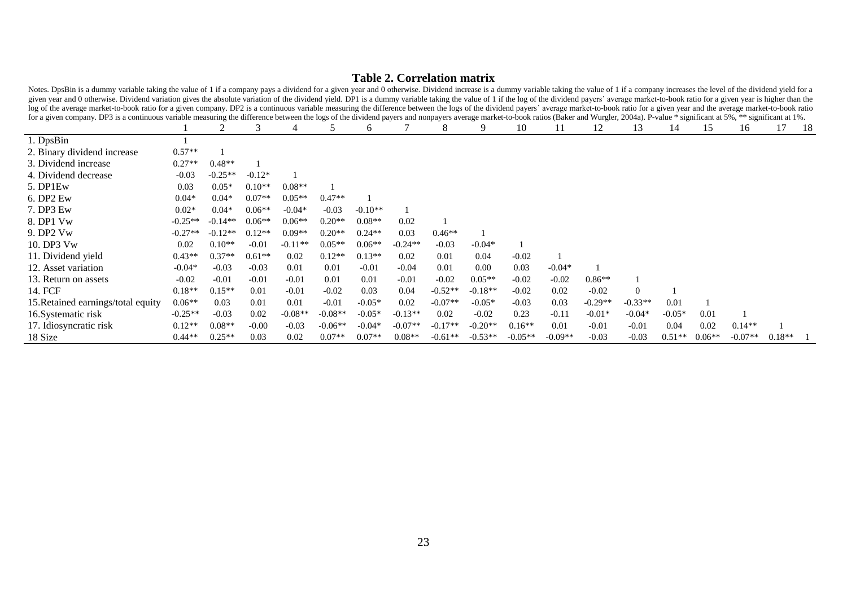# **Table 2. Correlation matrix**

| rotes. Despite to a admitiry nation taking the nation of Fit a company pays a dividend tora given year and o otherwise. Dividend mercase is a daminy natione taking the nation are to the dividend year toral and<br>given year and 0 otherwise. Dividend variation gives the absolute variation of the dividend yield. DP1 is a dummy variable taking the value of 1 if the log of the dividend payers' average market-to-book ratio for a given y              |           |           |          |           |           |           |           |           |           |           |           |           |           |          |          |           |          |      |
|------------------------------------------------------------------------------------------------------------------------------------------------------------------------------------------------------------------------------------------------------------------------------------------------------------------------------------------------------------------------------------------------------------------------------------------------------------------|-----------|-----------|----------|-----------|-----------|-----------|-----------|-----------|-----------|-----------|-----------|-----------|-----------|----------|----------|-----------|----------|------|
| log of the average market-to-book ratio for a given company. DP2 is a continuous variable measuring the difference between the logs of the dividend payers' average market-to-book ratio for a given year and the average mark<br>for a given company. DP3 is a continuous variable measuring the difference between the logs of the dividend payers and nonpayers average market-to-book ratios (Baker and Wurgler, 2004a). P-value * significant at 5%, ** sig |           |           |          |           |           |           |           |           |           |           |           |           |           |          |          |           |          |      |
|                                                                                                                                                                                                                                                                                                                                                                                                                                                                  |           |           |          |           |           | 6         |           |           |           | 10        | 11        | 12        | 13        | 14       | 15       | 16        | 17       | - 18 |
| 1. DpsBin                                                                                                                                                                                                                                                                                                                                                                                                                                                        |           |           |          |           |           |           |           |           |           |           |           |           |           |          |          |           |          |      |
| 2. Binary dividend increase                                                                                                                                                                                                                                                                                                                                                                                                                                      | $0.57**$  |           |          |           |           |           |           |           |           |           |           |           |           |          |          |           |          |      |
| 3. Dividend increase                                                                                                                                                                                                                                                                                                                                                                                                                                             | $0.27**$  | $0.48**$  |          |           |           |           |           |           |           |           |           |           |           |          |          |           |          |      |
| 4. Dividend decrease                                                                                                                                                                                                                                                                                                                                                                                                                                             | $-0.03$   | $-0.25**$ | $-0.12*$ |           |           |           |           |           |           |           |           |           |           |          |          |           |          |      |
| 5. DP1Ew                                                                                                                                                                                                                                                                                                                                                                                                                                                         | 0.03      | $0.05*$   | $0.10**$ | $0.08**$  |           |           |           |           |           |           |           |           |           |          |          |           |          |      |
| 6. DP2 Ew                                                                                                                                                                                                                                                                                                                                                                                                                                                        | $0.04*$   | $0.04*$   | $0.07**$ | $0.05**$  | $0.47**$  |           |           |           |           |           |           |           |           |          |          |           |          |      |
| 7. DP3 Ew                                                                                                                                                                                                                                                                                                                                                                                                                                                        | $0.02*$   | $0.04*$   | $0.06**$ | $-0.04*$  | $-0.03$   | $-0.10**$ |           |           |           |           |           |           |           |          |          |           |          |      |
| 8. DP1 Vw                                                                                                                                                                                                                                                                                                                                                                                                                                                        | $-0.25**$ | $-0.14**$ | $0.06**$ | $0.06**$  | $0.20**$  | $0.08**$  | 0.02      |           |           |           |           |           |           |          |          |           |          |      |
| 9. DP2 Vw                                                                                                                                                                                                                                                                                                                                                                                                                                                        | $-0.27**$ | $-0.12**$ | $0.12**$ | $0.09**$  | $0.20**$  | $0.24**$  | 0.03      | $0.46**$  |           |           |           |           |           |          |          |           |          |      |
| 10. DP3 Vw                                                                                                                                                                                                                                                                                                                                                                                                                                                       | 0.02      | $0.10**$  | $-0.01$  | $-0.11**$ | $0.05**$  | $0.06**$  | $-0.24**$ | $-0.03$   | $-0.04*$  |           |           |           |           |          |          |           |          |      |
| 11. Dividend yield                                                                                                                                                                                                                                                                                                                                                                                                                                               | $0.43**$  | $0.37**$  | $0.61**$ | 0.02      | $0.12**$  | $0.13**$  | 0.02      | 0.01      | 0.04      | $-0.02$   |           |           |           |          |          |           |          |      |
| 12. Asset variation                                                                                                                                                                                                                                                                                                                                                                                                                                              | $-0.04*$  | $-0.03$   | $-0.03$  | 0.01      | 0.01      | $-0.01$   | $-0.04$   | 0.01      | 0.00      | 0.03      | $-0.04*$  |           |           |          |          |           |          |      |
| 13. Return on assets                                                                                                                                                                                                                                                                                                                                                                                                                                             | $-0.02$   | $-0.01$   | $-0.01$  | $-0.01$   | 0.01      | 0.01      | $-0.01$   | $-0.02$   | $0.05**$  | $-0.02$   | $-0.02$   | $0.86**$  |           |          |          |           |          |      |
| 14. FCF                                                                                                                                                                                                                                                                                                                                                                                                                                                          | $0.18**$  | $0.15**$  | 0.01     | $-0.01$   | $-0.02$   | 0.03      | 0.04      | $-0.52**$ | $-0.18**$ | $-0.02$   | 0.02      | $-0.02$   | $\Omega$  |          |          |           |          |      |
| 15. Retained earnings/total equity                                                                                                                                                                                                                                                                                                                                                                                                                               | $0.06**$  | 0.03      | 0.01     | 0.01      | $-0.01$   | $-0.05*$  | 0.02      | $-0.07**$ | $-0.05*$  | $-0.03$   | 0.03      | $-0.29**$ | $-0.33**$ | 0.01     |          |           |          |      |
| 16. Systematic risk                                                                                                                                                                                                                                                                                                                                                                                                                                              | $-0.25**$ | $-0.03$   | 0.02     | $-0.08**$ | $-0.08**$ | $-0.05*$  | $-0.13**$ | 0.02      | $-0.02$   | 0.23      | $-0.11$   | $-0.01*$  | $-0.04*$  | $-0.05*$ | 0.01     |           |          |      |
| 17. Idiosyncratic risk                                                                                                                                                                                                                                                                                                                                                                                                                                           | $0.12**$  | $0.08**$  | $-0.00$  | $-0.03$   | $-0.06**$ | $-0.04*$  | $-0.07**$ | $-0.17**$ | $-0.20**$ | $0.16**$  | 0.01      | $-0.01$   | $-0.01$   | 0.04     | 0.02     | $0.14**$  |          |      |
| 18 Size                                                                                                                                                                                                                                                                                                                                                                                                                                                          | $0.44**$  | $0.25**$  | 0.03     | 0.02      | $0.07**$  | $0.07**$  | $0.08**$  | $-0.61**$ | $-0.53**$ | $-0.05**$ | $-0.09**$ | $-0.03$   | $-0.03$   | $0.51**$ | $0.06**$ | $-0.07**$ | $0.18**$ |      |

Notes. DpsBin is a dummy variable taking the value of 1 if a company pays a dividend for a given year and 0 otherwise. Dividend increase is a dummy variable taking the value of 1 if a company increases the level of the div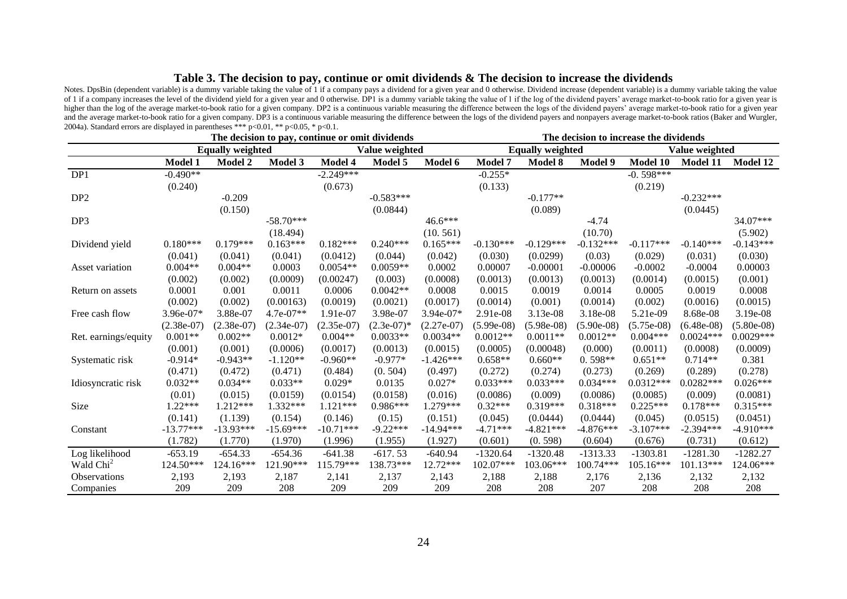#### **Table 3. The decision to pay, continue or omit dividends & The decision to increase the dividends**

Notes. DpsBin (dependent variable) is a dummy variable taking the value of 1 if a company pays a dividend for a given year and 0 otherwise. Dividend increase (dependent variable) is a dummy variable taking the value of 1 if a company increases the level of the dividend yield for a given year and 0 otherwise. DP1 is a dummy variable taking the value of 1 if the log of the dividend payers' average market-to-book ratio for a given year is higher than the log of the average market-to-book ratio for a given company. DP2 is a continuous variable measuring the difference between the logs of the dividend payers' average market-to-book ratio for a given year and the average market-to-book ratio for a given company. DP3 is a continuous variable measuring the difference between the logs of the dividend payers and nonpayers average market-to-book ratios (Baker and Wurgler, 2004a). Standard errors are displayed in parentheses \*\*\*  $p<0.01$ , \*\*  $p<0.05$ , \*  $p<0.1$ .

|                       | The decision to pay, continue or omit dividends |                         |              |                |                |              |                | The decision to increase the dividends |              |                |                 |               |  |  |
|-----------------------|-------------------------------------------------|-------------------------|--------------|----------------|----------------|--------------|----------------|----------------------------------------|--------------|----------------|-----------------|---------------|--|--|
|                       |                                                 | <b>Equally weighted</b> |              |                | Value weighted |              |                | <b>Equally weighted</b>                |              | Value weighted |                 |               |  |  |
|                       | Model 1                                         | <b>Model 2</b>          | Model 3      | <b>Model 4</b> | Model 5        | Model 6      | <b>Model 7</b> | Model 8                                | Model 9      | Model 10       | <b>Model 11</b> | Model 12      |  |  |
| DP1                   | $-0.490**$                                      |                         |              | $-2.249***$    |                |              | $-0.255*$      |                                        |              | $-0.598***$    |                 |               |  |  |
|                       | (0.240)                                         |                         |              | (0.673)        |                |              | (0.133)        |                                        |              | (0.219)        |                 |               |  |  |
| DP <sub>2</sub>       |                                                 | $-0.209$                |              |                | $-0.583***$    |              |                | $-0.177**$                             |              |                | $-0.232***$     |               |  |  |
|                       |                                                 | (0.150)                 |              |                | (0.0844)       |              |                | (0.089)                                |              |                | (0.0445)        |               |  |  |
| DP3                   |                                                 |                         | $-58.70***$  |                |                | $46.6***$    |                |                                        | $-4.74$      |                |                 | 34.07***      |  |  |
|                       |                                                 |                         | (18.494)     |                |                | (10.561)     |                |                                        | (10.70)      |                |                 | (5.902)       |  |  |
| Dividend yield        | $0.180***$                                      | $0.179***$              | $0.163***$   | $0.182***$     | $0.240***$     | $0.165***$   | $-0.130***$    | $-0.129***$                            | $-0.132***$  | $-0.117***$    | $-0.140***$     | $-0.143***$   |  |  |
|                       | (0.041)                                         | (0.041)                 | (0.041)      | (0.0412)       | (0.044)        | (0.042)      | (0.030)        | (0.0299)                               | (0.03)       | (0.029)        | (0.031)         | (0.030)       |  |  |
| Asset variation       | $0.004**$                                       | $0.004**$               | 0.0003       | $0.0054**$     | $0.0059**$     | 0.0002       | 0.00007        | $-0.00001$                             | $-0.00006$   | $-0.0002$      | $-0.0004$       | 0.00003       |  |  |
|                       | (0.002)                                         | (0.002)                 | (0.0009)     | (0.00247)      | (0.003)        | (0.0008)     | (0.0013)       | (0.0013)                               | (0.0013)     | (0.0014)       | (0.0015)        | (0.001)       |  |  |
| Return on assets      | 0.0001                                          | 0.001                   | 0.0011       | 0.0006         | $0.0042**$     | 0.0008       | 0.0015         | 0.0019                                 | 0.0014       | 0.0005         | 0.0019          | 0.0008        |  |  |
|                       | (0.002)                                         | (0.002)                 | (0.00163)    | (0.0019)       | (0.0021)       | (0.0017)     | (0.0014)       | (0.001)                                | (0.0014)     | (0.002)        | (0.0016)        | (0.0015)      |  |  |
| Free cash flow        | 3.96e-07*                                       | 3.88e-07                | $4.7e-07**$  | 1.91e-07       | 3.98e-07       | 3.94e-07*    | 2.91e-08       | 3.13e-08                               | 3.18e-08     | 5.21e-09       | 8.68e-08        | 3.19e-08      |  |  |
|                       | $(2.38e-07)$                                    | $(2.38e-07)$            | $(2.34e-07)$ | $(2.35e-07)$   | $(2.3e-07)^*$  | $(2.27e-07)$ | $(5.99e-08)$   | $(5.98e-08)$                           | $(5.90e-08)$ | $(5.75e-08)$   | $(6.48e-08)$    | $(5.80e-0.8)$ |  |  |
| Ret. earnings/equity  | $0.001**$                                       | $0.002**$               | $0.0012*$    | $0.004**$      | $0.0033**$     | $0.0034**$   | $0.0012**$     | $0.0011**$                             | $0.0012**$   | $0.004***$     | $0.0024***$     | $0.0029***$   |  |  |
|                       | (0.001)                                         | (0.001)                 | (0.0006)     | (0.0017)       | (0.0013)       | (0.0015)     | (0.0005)       | (0.00048)                              | (0.000)      | (0.0011)       | (0.0008)        | (0.0009)      |  |  |
| Systematic risk       | $-0.914*$                                       | $-0.943**$              | $-1.120**$   | $-0.960**$     | $-0.977*$      | $-1.426***$  | $0.658**$      | $0.660**$                              | $0.598**$    | $0.651**$      | $0.714**$       | 0.381         |  |  |
|                       | (0.471)                                         | (0.472)                 | (0.471)      | (0.484)        | (0.504)        | (0.497)      | (0.272)        | (0.274)                                | (0.273)      | (0.269)        | (0.289)         | (0.278)       |  |  |
| Idiosyncratic risk    | $0.032**$                                       | $0.034**$               | $0.033**$    | $0.029*$       | 0.0135         | $0.027*$     | $0.033***$     | $0.033***$                             | $0.034***$   | $0.0312***$    | $0.0282***$     | $0.026***$    |  |  |
|                       | (0.01)                                          | (0.015)                 | (0.0159)     | (0.0154)       | (0.0158)       | (0.016)      | (0.0086)       | (0.009)                                | (0.0086)     | (0.0085)       | (0.009)         | (0.0081)      |  |  |
| Size                  | $1.22***$                                       | $1.212***$              | 1.332***     | $1.121***$     | $0.986***$     | $1.279***$   | $0.32***$      | $0.319***$                             | $0.318***$   | $0.225***$     | $0.178***$      | $0.315***$    |  |  |
|                       | (0.141)                                         | (1.139)                 | (0.154)      | (0.146)        | (0.15)         | (0.151)      | (0.045)        | (0.0444)                               | (0.0444)     | (0.045)        | (0.0515)        | (0.0451)      |  |  |
| Constant              | $-13.77***$                                     | $-13.93***$             | $-15.69***$  | $-10.71***$    | $-9.22***$     | $-14.94***$  | $-4.71***$     | $-4.821***$                            | $-4.876***$  | $-3.107***$    | $-2.394***$     | $-4.910***$   |  |  |
|                       | (1.782)                                         | (1.770)                 | (1.970)      | (1.996)        | (1.955)        | (1.927)      | (0.601)        | (0.598)                                | (0.604)      | (0.676)        | (0.731)         | (0.612)       |  |  |
| Log likelihood        | $-653.19$                                       | $-654.33$               | $-654.36$    | $-641.38$      | $-617.53$      | $-640.94$    | $-1320.64$     | $-1320.48$                             | $-1313.33$   | $-1303.81$     | $-1281.30$      | $-1282.27$    |  |  |
| Wald Chi <sup>2</sup> | 124.50***                                       | 124.16***               | 121.90***    | 115.79***      | 138.73***      | 12.72***     | 102.07***      | 103.06***                              | 100.74***    | $105.16***$    | 101.13***       | 124.06***     |  |  |
| <b>Observations</b>   | 2,193                                           | 2,193                   | 2,187        | 2,141          | 2,137          | 2,143        | 2,188          | 2,188                                  | 2,176        | 2,136          | 2,132           | 2,132         |  |  |
| Companies             | 209                                             | 209                     | 208          | 209            | 209            | 209          | 208            | 208                                    | 207          | 208            | 208             | 208           |  |  |